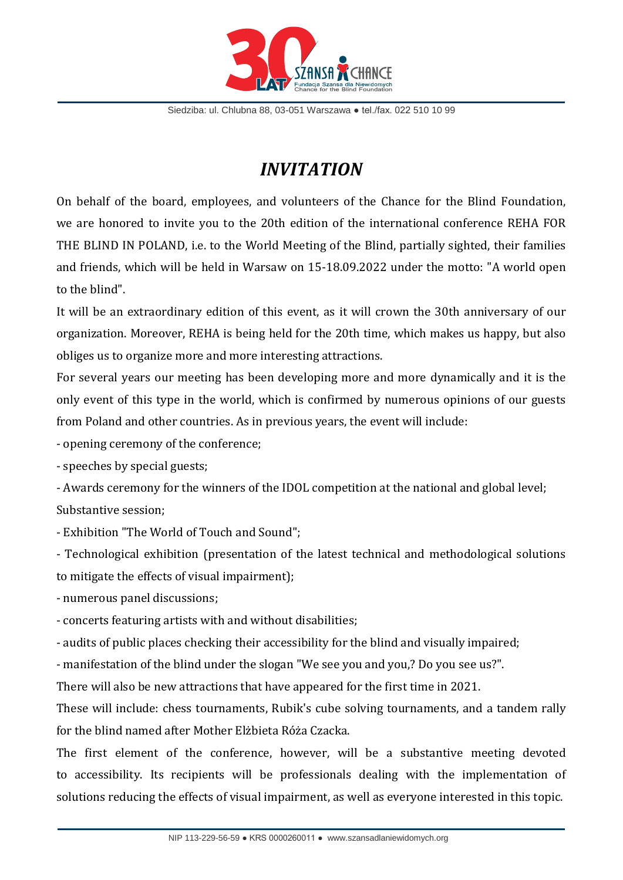

Siedziba: ul. Chlubna 88, 03-051 Warszawa ● tel./fax. 022 510 10 99

## *INVITATION*

On behalf of the board, employees, and volunteers of the Chance for the Blind Foundation, we are honored to invite you to the 20th edition of the international conference REHA FOR THE BLIND IN POLAND, i.e. to the World Meeting of the Blind, partially sighted, their families and friends, which will be held in Warsaw on 15-18.09.2022 under the motto: "A world open to the blind".

It will be an extraordinary edition of this event, as it will crown the 30th anniversary of our organization. Moreover, REHA is being held for the 20th time, which makes us happy, but also obliges us to organize more and more interesting attractions.

For several years our meeting has been developing more and more dynamically and it is the only event of this type in the world, which is confirmed by numerous opinions of our guests from Poland and other countries. As in previous years, the event will include:

- opening ceremony of the conference;

- speeches by special guests;

- Awards ceremony for the winners of the IDOL competition at the national and global level; Substantive session;

- Exhibition "The World of Touch and Sound";

- Technological exhibition (presentation of the latest technical and methodological solutions to mitigate the effects of visual impairment);

- numerous panel discussions;

- concerts featuring artists with and without disabilities;

- audits of public places checking their accessibility for the blind and visually impaired;

- manifestation of the blind under the slogan "We see you and you,? Do you see us?".

There will also be new attractions that have appeared for the first time in 2021.

These will include: chess tournaments, Rubik's cube solving tournaments, and a tandem rally for the blind named after Mother Elżbieta Róża Czacka.

The first element of the conference, however, will be a substantive meeting devoted to accessibility. Its recipients will be professionals dealing with the implementation of solutions reducing the effects of visual impairment, as well as everyone interested in this topic.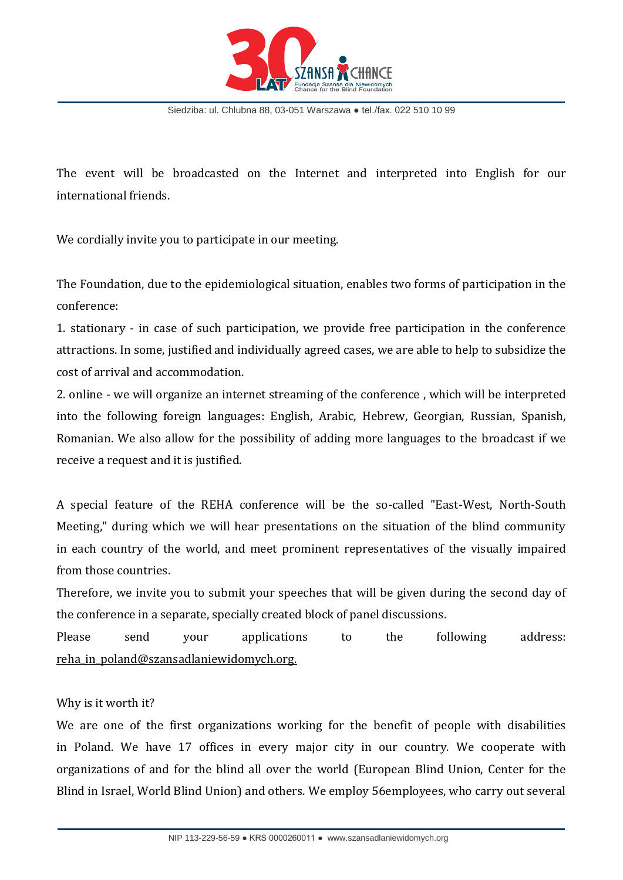

Siedziba: ul. Chlubna 88, 03-051 Warszawa ● tel./fax. 022 510 10 99

The event will be broadcasted on the Internet and interpreted into English for our international friends.

We cordially invite you to participate in our meeting.

The Foundation, due to the epidemiological situation, enables two forms of participation in the conference:

1. stationary - in case of such participation, we provide free participation in the conference attractions. In some, justified and individually agreed cases, we are able to help to subsidize the cost of arrival and accommodation.

2. online - we will organize an internet streaming of the conference , which will be interpreted into the following foreign languages: English, Arabic, Hebrew, Georgian, Russian, Spanish, Romanian. We also allow for the possibility of adding more languages to the broadcast if we receive a request and it is justified.

A special feature of the REHA conference will be the so-called "East-West, North-South Meeting," during which we will hear presentations on the situation of the blind community in each country of the world, and meet prominent representatives of the visually impaired from those countries.

Therefore, we invite you to submit your speeches that will be given during the second day of the conference in a separate, specially created block of panel discussions.

Please send your applications to the following address: reha\_in\_poland@szansadlaniewidomych.org.

## Why is it worth it?

We are one of the first organizations working for the benefit of people with disabilities in Poland. We have 17 offices in every major city in our country. We cooperate with organizations of and for the blind all over the world (European Blind Union, Center for the Blind in Israel, World Blind Union) and others. We employ 56employees, who carry out several